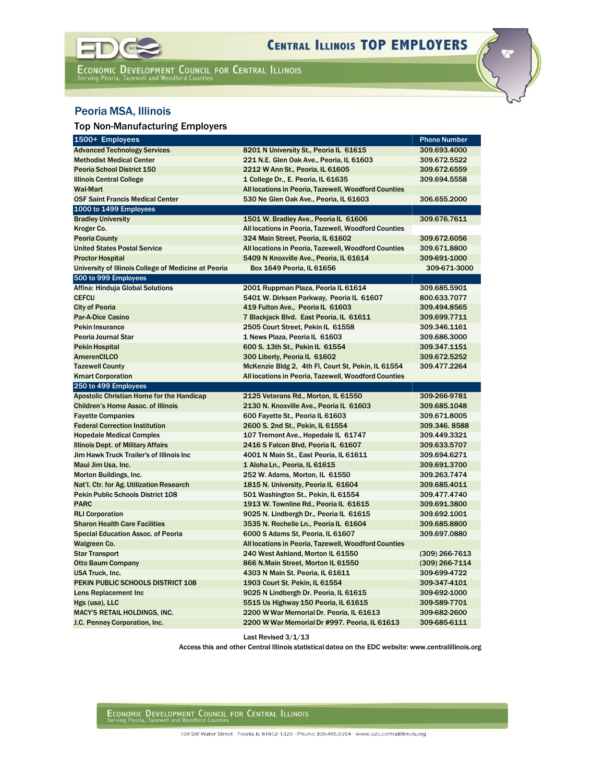

ECONOMIC DEVELOPMENT COUNCIL FOR CENTRAL ILLINOIS<br>Serving Peoria, Tazewell and Woodford Counties

## Peoria MSA, Illinois

## Top Non-Manufacturing Employers

| 1500+ Employees                                      |                                                      | <b>Phone Number</b>              |
|------------------------------------------------------|------------------------------------------------------|----------------------------------|
| <b>Advanced Technology Services</b>                  | 8201 N University St., Peoria IL 61615               | 309.693.4000                     |
| <b>Methodist Medical Center</b>                      | 221 N.E. Glen Oak Ave., Peoria, IL 61603             | 309.672.5522                     |
| <b>Peoria School District 150</b>                    | 2212 W Ann St., Peoria, IL 61605                     | 309.672.6559                     |
| <b>Illinois Central College</b>                      | 1 College Dr., E. Peoria, IL 61635                   | 309.694.5558                     |
| <b>Wal-Mart</b>                                      | All locations in Peoria, Tazewell, Woodford Counties |                                  |
| <b>OSF Saint Francis Medical Center</b>              | 530 Ne Glen Oak Ave., Peoria, IL 61603               | 306.655.2000                     |
| 1000 to 1499 Employees                               |                                                      |                                  |
| <b>Bradley University</b>                            | 1501 W. Bradley Ave., Peoria IL 61606                | 309.676.7611                     |
| Kroger Co.                                           | All locations in Peoria, Tazewell, Woodford Counties |                                  |
| <b>Peoria County</b>                                 | 324 Main Street, Peoria, IL 61602                    | 309.672.6056                     |
| <b>United States Postal Service</b>                  | All locations in Peoria, Tazewell, Woodford Counties | 309.671.8800                     |
| <b>Proctor Hospital</b>                              | 5409 N Knoxville Ave., Peoria, IL 61614              | 309-691-1000                     |
| University of Illinois College of Medicine at Peoria | Box 1649 Peoria, IL 61656                            | 309-671 3000                     |
| 500 to 999 Employees                                 |                                                      |                                  |
| Affina: Hinduja Global Solutions                     | 2001 Ruppman Plaza, Peoria IL 61614                  | 309.685.5901                     |
| <b>CEFCU</b>                                         | 5401 W. Dirksen Parkway, Peoria IL 61607             | 800.633.7077                     |
| <b>City of Peoria</b>                                | 419 Fulton Ave., Peoria IL 61603                     | 309.494.8565                     |
| <b>Par-A-Dice Casino</b>                             | 7 Blackjack Blvd. East Peoria, IL 61611              | 309.699.7711                     |
| <b>Pekin Insurance</b>                               | 2505 Court Street, Pekin IL 61558                    | 309.346.1161                     |
| Peoria Journal Star                                  | 1 News Plaza, Peoria IL 61603                        | 309.686.3000                     |
| <b>Pekin Hospital</b>                                | 600 S. 13th St., Pekin IL 61554                      | 309.347.1151                     |
| <b>AmerenCILCO</b>                                   | 300 Liberty, Peoria IL 61602                         | 309.672.5252                     |
| <b>Tazewell County</b>                               | McKenzie Bldg 2, 4th Fl, Court St, Pekin, IL 61554   | 309.477.2264                     |
| <b>Kmart Corporation</b>                             | All locations in Peoria, Tazewell, Woodford Counties |                                  |
| 250 to 499 Employees                                 |                                                      |                                  |
| Apostolic Christian Home for the Handicap            | 2125 Veterans Rd., Morton, IL 61550                  | 309 266 9781                     |
| <b>Children's Home Assoc. of Illinois</b>            | 2130 N. Knoxville Ave., Peoria IL 61603              | 309.685.1048                     |
| <b>Fayette Companies</b>                             | 600 Fayette St., Peoria IL 61603                     | 309.671.8005                     |
| <b>Federal Correction Institution</b>                | 2600 S. 2nd St., Pekin, IL 61554                     | 309.346.8588                     |
| <b>Hopedale Medical Complex</b>                      | 107 Tremont Ave., Hopedale IL 61747                  | 309.449.3321                     |
| Illinois Dept. of Military Affairs                   | 2416 S Falcon Blvd, Peoria IL 61607                  | 309.633.5707                     |
| Jim Hawk Truck Trailer's of Illinois Inc             | 4001 N Main St., East Peoria, IL 61611               | 309.694.6271                     |
| Maui Jim Usa, Inc.                                   | 1 Aloha Ln., Peoria, IL 61615                        | 309.691.3700                     |
| Morton Buildings, Inc.                               | 252 W. Adams, Morton, IL 61550                       | 309.263.7474                     |
| Nat'l. Ctr. for Ag. Utilization Research             | 1815 N. University, Peoria IL 61604                  | 309.685.4011                     |
| Pekin Public Schools District 108                    | 501 Washington St., Pekin, IL 61554                  | 309.477.4740                     |
| <b>PARC</b>                                          | 1913 W. Townline Rd., Peoria IL 61615                | 309.691.3800                     |
| <b>RLI Corporation</b>                               | 9025 N. Lindbergh Dr., Peoria IL 61615               | 309.692.1001                     |
| <b>Sharon Health Care Facilities</b>                 | 3535 N. Rochelle Ln., Peoria IL 61604                | 309.685.8800                     |
| <b>Special Education Assoc. of Peoria</b>            | 6000 S Adams St. Peoria, IL 61607                    | 309.697.0880                     |
| Walgreen Co.                                         | All locations in Peoria, Tazewell, Woodford Counties |                                  |
| <b>Star Transport</b>                                | 240 West Ashland, Morton IL 61550                    | (309) 266-7613<br>(309) 266-7114 |
| <b>Otto Baum Company</b>                             | 866 N.Main Street, Morton IL 61550                   |                                  |
| <b>USA Truck, Inc.</b>                               | 4303 N Main St. Peoria, IL 61611                     | 309-699-4722                     |
| PEKIN PUBLIC SCHOOLS DISTRICT 108                    | 1903 Court St. Pekin, IL 61554                       | 309-347-4101                     |
| Lens Replacement Inc                                 | 9025 N Lindbergh Dr. Peoria, IL 61615                | 309-692-1000                     |
| Hgs (usa), LLC                                       | 5515 Us Highway 150 Peoria, IL 61615                 | 309-589-7701                     |
| <b>MACY'S RETAIL HOLDINGS, INC.</b>                  | 2200 W War Memorial Dr. Peoria, IL 61613             | 309-682-2600                     |
| J.C. Penney Corporation, Inc.                        | 2200 W War Memorial Dr #997. Peoria, IL 61613        | 309-685-6111                     |

Last Revised 3/1/13

Access this and other Central Illinois statistical datea on the EDC website: [www.centralillinois.org](http://www.centralillinois.org/)

ECONOMIC DEVELOPMENT COUNCIL FOR CENTRAL ILLINOIS

100 SW Water Street · Peoria, IL 61602-1329 · Phone: 309.495.5954 · www.edc.centralillinois.org